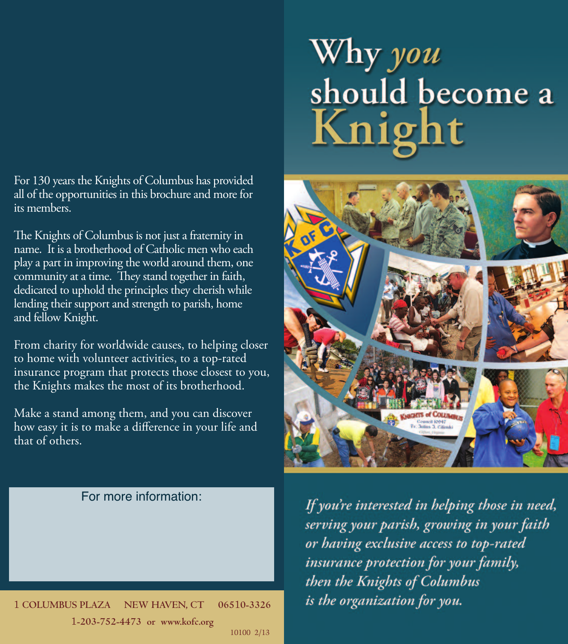# Why you should become a Knight

For 130 years the Knights of Columbus has provided all of the opportunities in this brochure and more for its members.

The Knights of Columbus is not just a fraternity in name. It is a brotherhood of Catholic men who each play a part in improving the world around them, one community at a time. They stand together in faith, dedicated to uphold the principles they cherish while lending their support and strength to parish, home and fellow Knight.

From charity for worldwide causes, to helping closer to home with volunteer activities, to a top-rated insurance program that protects those closest to you, the Knights makes the most of its brotherhood.

Make a stand among them, and you can discover how easy it is to make a difference in your life and that of others.



#### For more information:

If you're interested in helping those in need, serving your parish, growing in your faith or having exclusive access to top-rated insurance protection for your family, then the Knights of Columbus is the organization for you.

1 **COLUMBUS PLAZA NEW HAVEN, CT 065**1**0-3326** 1**-203-752-4473 or www.kofc.org** 10100 2/13